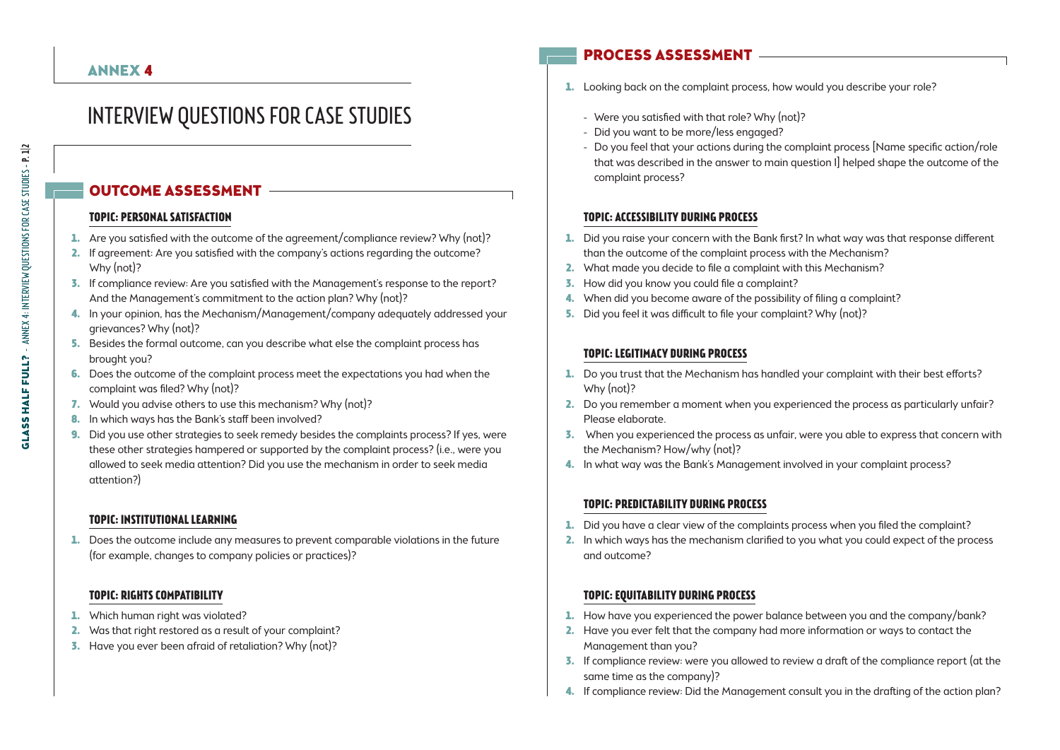# Interview Questions for Case Studies

# Outcome assessment

#### **Topic: Personal satisfaction**

- 1. Are you satisfied with the outcome of the agreement/compliance review? Why (not)?
- 2. If agreement: Are you satisfied with the company's actions regarding the outcome? Why (not)?
- 3. If compliance review: Are you satisfied with the Management's response to the report? And the Management's commitment to the action plan? Why (not)?
- 4. In your opinion, has the Mechanism/Management/company adequately addressed your grievances? Why (not)?
- 5. Besides the formal outcome, can you describe what else the complaint process has brought you?
- 6. Does the outcome of the complaint process meet the expectations you had when the complaint was filed? Why (not)?
- 7. Would you advise others to use this mechanism? Why (not)?
- 8. In which ways has the Bank's staff been involved?
- 9. Did you use other strategies to seek remedy besides the complaints process? If yes, were these other strategies hampered or supported by the complaint process? (i.e., were you allowed to seek media attention? Did you use the mechanism in order to seek media attention?)

## **Topic: Institutional learning**

1. Does the outcome include any measures to prevent comparable violations in the future (for example, changes to company policies or practices)?

#### **Topic: Rights compatibility**

- 1. Which human right was violated?
- 2. Was that right restored as a result of your complaint?
- 3. Have you ever been afraid of retaliation? Why (not)?

# Process assessment

- 1. Looking back on the complaint process, how would you describe your role?
	- Were you satisfied with that role? Why (not)?
	- Did you want to be more/less engaged?
	- Do you feel that your actions during the complaint process [Name specific action/role that was described in the answer to main question 1] helped shape the outcome of the complaint process?

#### **Topic: Accessibility during process**

- 1. Did you raise your concern with the Bank first? In what way was that response different than the outcome of the complaint process with the Mechanism?
- 2. What made you decide to file a complaint with this Mechanism?
- 3. How did you know you could file a complaint?
- 4. When did you become aware of the possibility of filing a complaint?
- 5. Did you feel it was difficult to file your complaint? Why (not)?

#### **Topic: Legitimacy during process**

- 1. Do you trust that the Mechanism has handled your complaint with their best efforts? Why (not)?
- 2. Do you remember a moment when you experienced the process as particularly unfair? Please elaborate.
- 3. When you experienced the process as unfair, were you able to express that concern with the Mechanism? How/why (not)?
- 4. In what way was the Bank's Management involved in your complaint process?

## **Topic: Predictability during process**

- 1. Did you have a clear view of the complaints process when you filed the complaint?
- 2. In which ways has the mechanism clarified to you what you could expect of the process and outcome?

## **Topic: Equitability during process**

- 1. How have you experienced the power balance between you and the company/bank?
- 2. Have you ever felt that the company had more information or ways to contact the Management than you?
- 3. If compliance review: were you allowed to review a draft of the compliance report (at the same time as the company)?
- 4. If compliance review: Did the Management consult you in the drafting of the action plan?